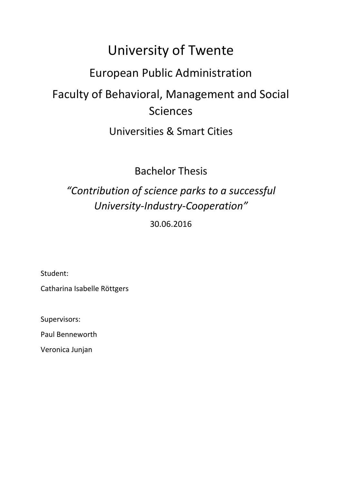# University of Twente

# European Public Administration

# Faculty of Behavioral, Management and Social Sciences

# Universities & Smart Cities

# Bachelor Thesis

# *"Contribution of science parks to a successful University-Industry-Cooperation"*

# 30.06.2016

Student:

Catharina Isabelle Röttgers

Supervisors:

Paul Benneworth

Veronica Junjan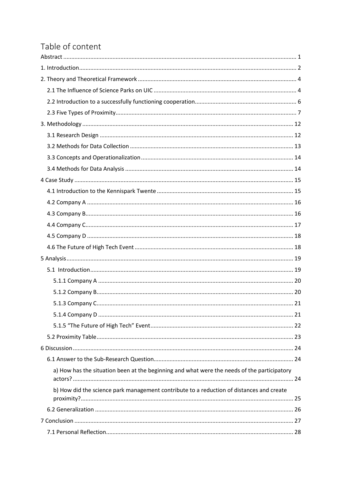# Table of content

| a) How has the situation been at the beginning and what were the needs of the participatory |  |
|---------------------------------------------------------------------------------------------|--|
| b) How did the science park management contribute to a reduction of distances and create    |  |
|                                                                                             |  |
|                                                                                             |  |
|                                                                                             |  |
|                                                                                             |  |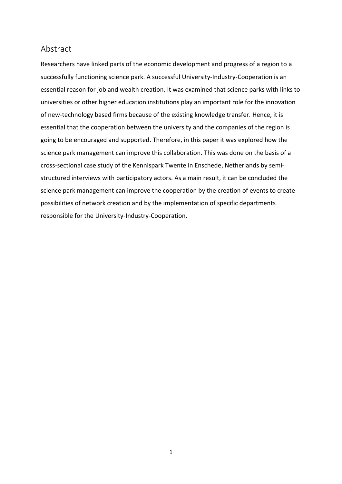# <span id="page-3-0"></span>Abstract

Researchers have linked parts of the economic development and progress of a region to a successfully functioning science park. A successful University-Industry-Cooperation is an essential reason for job and wealth creation. It was examined that science parks with links to universities or other higher education institutions play an important role for the innovation of new-technology based firms because of the existing knowledge transfer. Hence, it is essential that the cooperation between the university and the companies of the region is going to be encouraged and supported. Therefore, in this paper it was explored how the science park management can improve this collaboration. This was done on the basis of a cross-sectional case study of the Kennispark Twente in Enschede, Netherlands by semistructured interviews with participatory actors. As a main result, it can be concluded the science park management can improve the cooperation by the creation of events to create possibilities of network creation and by the implementation of specific departments responsible for the University-Industry-Cooperation.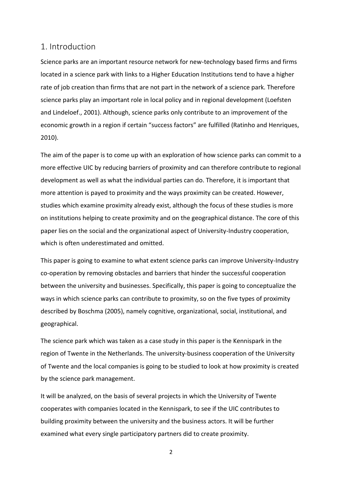## <span id="page-4-0"></span>1. Introduction

Science parks are an important resource network for new-technology based firms and firms located in a science park with links to a Higher Education Institutions tend to have a higher rate of job creation than firms that are not part in the network of a science park. Therefore science parks play an important role in local policy and in regional development (Loefsten and Lindeloef., 2001). Although, science parks only contribute to an improvement of the economic growth in a region if certain "success factors" are fulfilled (Ratinho and Henriques, 2010).

The aim of the paper is to come up with an exploration of how science parks can commit to a more effective UIC by reducing barriers of proximity and can therefore contribute to regional development as well as what the individual parties can do. Therefore, it is important that more attention is payed to proximity and the ways proximity can be created. However, studies which examine proximity already exist, although the focus of these studies is more on institutions helping to create proximity and on the geographical distance. The core of this paper lies on the social and the organizational aspect of University-Industry cooperation, which is often underestimated and omitted.

This paper is going to examine to what extent science parks can improve University-Industry co-operation by removing obstacles and barriers that hinder the successful cooperation between the university and businesses. Specifically, this paper is going to conceptualize the ways in which science parks can contribute to proximity, so on the five types of proximity described by Boschma (2005), namely cognitive, organizational, social, institutional, and geographical.

The science park which was taken as a case study in this paper is the Kennispark in the region of Twente in the Netherlands. The university-business cooperation of the University of Twente and the local companies is going to be studied to look at how proximity is created by the science park management.

It will be analyzed, on the basis of several projects in which the University of Twente cooperates with companies located in the Kennispark, to see if the UIC contributes to building proximity between the university and the business actors. It will be further examined what every single participatory partners did to create proximity.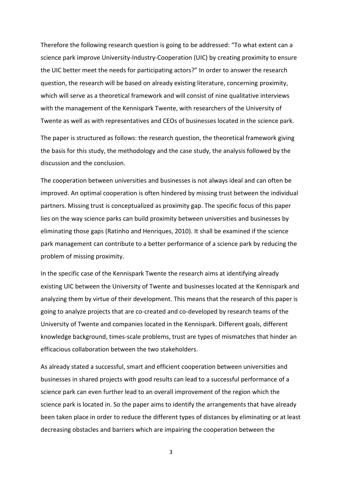Therefore the following research question is going to be addressed: "To what extent can a science park improve University-Industry-Cooperation (UIC) by creating proximity to ensure the UIC better meet the needs for participating actors?" In order to answer the research question, the research will be based on already existing literature, concerning proximity, which will serve as a theoretical framework and will consist of nine qualitative interviews with the management of the Kennispark Twente, with researchers of the University of Twente as well as with representatives and CEOs of businesses located in the science park.

The paper is structured as follows: the research question, the theoretical framework giving the basis for this study, the methodology and the case study, the analysis followed by the discussion and the conclusion.

The cooperation between universities and businesses is not always ideal and can often be improved. An optimal cooperation is often hindered by missing trust between the individual partners. Missing trust is conceptualized as proximity gap. The specific focus of this paper lies on the way science parks can build proximity between universities and businesses by eliminating those gaps (Ratinho and Henriques, 2010). It shall be examined if the science park management can contribute to a better performance of a science park by reducing the problem of missing proximity.

In the specific case of the Kennispark Twente the research aims at identifying already existing UIC between the University of Twente and businesses located at the Kennispark and analyzing them by virtue of their development. This means that the research of this paper is going to analyze projects that are co-created and co-developed by research teams of the University of Twente and companies located in the Kennispark. Different goals, different knowledge background, times-scale problems, trust are types of mismatches that hinder an efficacious collaboration between the two stakeholders.

As already stated a successful, smart and efficient cooperation between universities and businesses in shared projects with good results can lead to a successful performance of a science park can even further lead to an overall improvement of the region which the science park is located in. So the paper aims to identify the arrangements that have already been taken place in order to reduce the different types of distances by eliminating or at least decreasing obstacles and barriers which are impairing the cooperation between the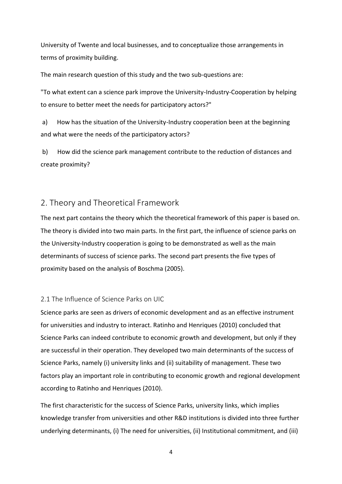University of Twente and local businesses, and to conceptualize those arrangements in terms of proximity building.

The main research question of this study and the two sub-questions are:

"To what extent can a science park improve the University-Industry-Cooperation by helping to ensure to better meet the needs for participatory actors?"

a) How has the situation of the University-Industry cooperation been at the beginning and what were the needs of the participatory actors?

b) How did the science park management contribute to the reduction of distances and create proximity?

# <span id="page-6-0"></span>2. Theory and Theoretical Framework

The next part contains the theory which the theoretical framework of this paper is based on. The theory is divided into two main parts. In the first part, the influence of science parks on the University-Industry cooperation is going to be demonstrated as well as the main determinants of success of science parks. The second part presents the five types of proximity based on the analysis of Boschma (2005).

# <span id="page-6-1"></span>2.1 The Influence of Science Parks on UIC

Science parks are seen as drivers of economic development and as an effective instrument for universities and industry to interact. Ratinho and Henriques (2010) concluded that Science Parks can indeed contribute to economic growth and development, but only if they are successful in their operation. They developed two main determinants of the success of Science Parks, namely (i) university links and (ii) suitability of management. These two factors play an important role in contributing to economic growth and regional development according to Ratinho and Henriques (2010).

The first characteristic for the success of Science Parks, university links, which implies knowledge transfer from universities and other R&D institutions is divided into three further underlying determinants, (i) The need for universities, (ii) Institutional commitment, and (iii)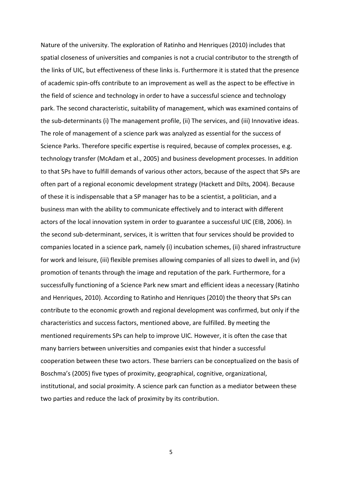Nature of the university. The exploration of Ratinho and Henriques (2010) includes that spatial closeness of universities and companies is not a crucial contributor to the strength of the links of UIC, but effectiveness of these links is. Furthermore it is stated that the presence of academic spin-offs contribute to an improvement as well as the aspect to be effective in the field of science and technology in order to have a successful science and technology park. The second characteristic, suitability of management, which was examined contains of the sub-determinants (i) The management profile, (ii) The services, and (iii) Innovative ideas. The role of management of a science park was analyzed as essential for the success of Science Parks. Therefore specific expertise is required, because of complex processes, e.g. technology transfer (McAdam et al., 2005) and business development processes. In addition to that SPs have to fulfill demands of various other actors, because of the aspect that SPs are often part of a regional economic development strategy (Hackett and Dilts, 2004). Because of these it is indispensable that a SP manager has to be a scientist, a politician, and a business man with the ability to communicate effectively and to interact with different actors of the local innovation system in order to guarantee a successful UIC (EIB, 2006). In the second sub-determinant, services, it is written that four services should be provided to companies located in a science park, namely (i) incubation schemes, (ii) shared infrastructure for work and leisure, (iii) flexible premises allowing companies of all sizes to dwell in, and (iv) promotion of tenants through the image and reputation of the park. Furthermore, for a successfully functioning of a Science Park new smart and efficient ideas a necessary (Ratinho and Henriques, 2010). According to Ratinho and Henriques (2010) the theory that SPs can contribute to the economic growth and regional development was confirmed, but only if the characteristics and success factors, mentioned above, are fulfilled. By meeting the mentioned requirements SPs can help to improve UIC. However, it is often the case that many barriers between universities and companies exist that hinder a successful cooperation between these two actors. These barriers can be conceptualized on the basis of Boschma's (2005) five types of proximity, geographical, cognitive, organizational, institutional, and social proximity. A science park can function as a mediator between these two parties and reduce the lack of proximity by its contribution.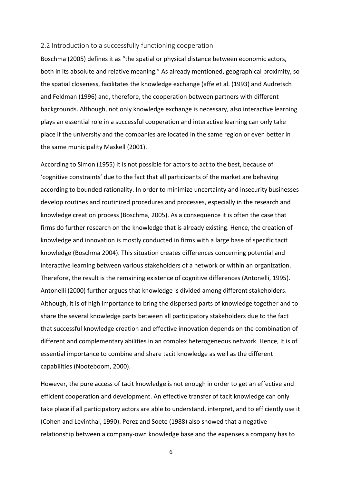#### <span id="page-8-0"></span>2.2 Introduction to a successfully functioning cooperation

Boschma (2005) defines it as "the spatial or physical distance between economic actors, both in its absolute and relative meaning." As already mentioned, geographical proximity, so the spatial closeness, facilitates the knowledge exchange (affe et al. (1993) and Audretsch and Feldman (1996) and, therefore, the cooperation between partners with different backgrounds. Although, not only knowledge exchange is necessary, also interactive learning plays an essential role in a successful cooperation and interactive learning can only take place if the university and the companies are located in the same region or even better in the same municipality Maskell (2001).

According to Simon (1955) it is not possible for actors to act to the best, because of 'cognitive constraints' due to the fact that all participants of the market are behaving according to bounded rationality. In order to minimize uncertainty and insecurity businesses develop routines and routinized procedures and processes, especially in the research and knowledge creation process (Boschma, 2005). As a consequence it is often the case that firms do further research on the knowledge that is already existing. Hence, the creation of knowledge and innovation is mostly conducted in firms with a large base of specific tacit knowledge (Boschma 2004). This situation creates differences concerning potential and interactive learning between various stakeholders of a network or within an organization. Therefore, the result is the remaining existence of cognitive differences (Antonelli, 1995). Antonelli (2000) further argues that knowledge is divided among different stakeholders. Although, it is of high importance to bring the dispersed parts of knowledge together and to share the several knowledge parts between all participatory stakeholders due to the fact that successful knowledge creation and effective innovation depends on the combination of different and complementary abilities in an complex heterogeneous network. Hence, it is of essential importance to combine and share tacit knowledge as well as the different capabilities (Nooteboom, 2000).

However, the pure access of tacit knowledge is not enough in order to get an effective and efficient cooperation and development. An effective transfer of tacit knowledge can only take place if all participatory actors are able to understand, interpret, and to efficiently use it (Cohen and Levinthal, 1990). Perez and Soete (1988) also showed that a negative relationship between a company-own knowledge base and the expenses a company has to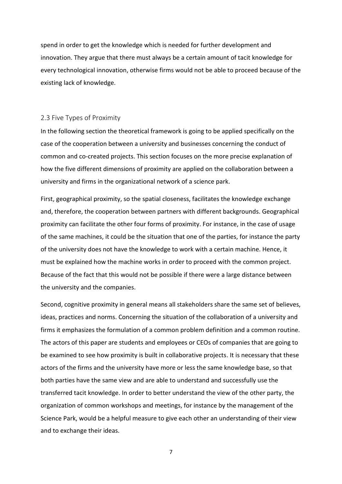spend in order to get the knowledge which is needed for further development and innovation. They argue that there must always be a certain amount of tacit knowledge for every technological innovation, otherwise firms would not be able to proceed because of the existing lack of knowledge.

#### <span id="page-9-0"></span>2.3 Five Types of Proximity

In the following section the theoretical framework is going to be applied specifically on the case of the cooperation between a university and businesses concerning the conduct of common and co-created projects. This section focuses on the more precise explanation of how the five different dimensions of proximity are applied on the collaboration between a university and firms in the organizational network of a science park.

First, geographical proximity, so the spatial closeness, facilitates the knowledge exchange and, therefore, the cooperation between partners with different backgrounds. Geographical proximity can facilitate the other four forms of proximity. For instance, in the case of usage of the same machines, it could be the situation that one of the parties, for instance the party of the university does not have the knowledge to work with a certain machine. Hence, it must be explained how the machine works in order to proceed with the common project. Because of the fact that this would not be possible if there were a large distance between the university and the companies.

Second, cognitive proximity in general means all stakeholders share the same set of believes, ideas, practices and norms. Concerning the situation of the collaboration of a university and firms it emphasizes the formulation of a common problem definition and a common routine. The actors of this paper are students and employees or CEOs of companies that are going to be examined to see how proximity is built in collaborative projects. It is necessary that these actors of the firms and the university have more or less the same knowledge base, so that both parties have the same view and are able to understand and successfully use the transferred tacit knowledge. In order to better understand the view of the other party, the organization of common workshops and meetings, for instance by the management of the Science Park, would be a helpful measure to give each other an understanding of their view and to exchange their ideas.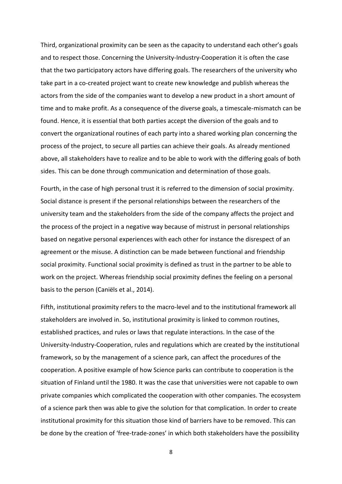Third, organizational proximity can be seen as the capacity to understand each other's goals and to respect those. Concerning the University-Industry-Cooperation it is often the case that the two participatory actors have differing goals. The researchers of the university who take part in a co-created project want to create new knowledge and publish whereas the actors from the side of the companies want to develop a new product in a short amount of time and to make profit. As a consequence of the diverse goals, a timescale-mismatch can be found. Hence, it is essential that both parties accept the diversion of the goals and to convert the organizational routines of each party into a shared working plan concerning the process of the project, to secure all parties can achieve their goals. As already mentioned above, all stakeholders have to realize and to be able to work with the differing goals of both sides. This can be done through communication and determination of those goals.

Fourth, in the case of high personal trust it is referred to the dimension of social proximity. Social distance is present if the personal relationships between the researchers of the university team and the stakeholders from the side of the company affects the project and the process of the project in a negative way because of mistrust in personal relationships based on negative personal experiences with each other for instance the disrespect of an agreement or the misuse. A distinction can be made between functional and friendship social proximity. Functional social proximity is defined as trust in the partner to be able to work on the project. Whereas friendship social proximity defines the feeling on a personal basis to the person (Caniëls et al., 2014).

Fifth, institutional proximity refers to the macro-level and to the institutional framework all stakeholders are involved in. So, institutional proximity is linked to common routines, established practices, and rules or laws that regulate interactions. In the case of the University-Industry-Cooperation, rules and regulations which are created by the institutional framework, so by the management of a science park, can affect the procedures of the cooperation. A positive example of how Science parks can contribute to cooperation is the situation of Finland until the 1980. It was the case that universities were not capable to own private companies which complicated the cooperation with other companies. The ecosystem of a science park then was able to give the solution for that complication. In order to create institutional proximity for this situation those kind of barriers have to be removed. This can be done by the creation of 'free-trade-zones' in which both stakeholders have the possibility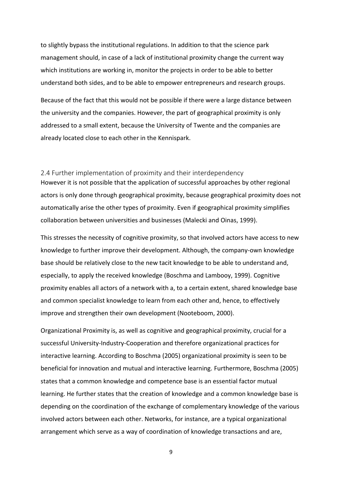to slightly bypass the institutional regulations. In addition to that the science park management should, in case of a lack of institutional proximity change the current way which institutions are working in, monitor the projects in order to be able to better understand both sides, and to be able to empower entrepreneurs and research groups.

Because of the fact that this would not be possible if there were a large distance between the university and the companies. However, the part of geographical proximity is only addressed to a small extent, because the University of Twente and the companies are already located close to each other in the Kennispark.

#### 2.4 Further implementation of proximity and their interdependency

However it is not possible that the application of successful approaches by other regional actors is only done through geographical proximity, because geographical proximity does not automatically arise the other types of proximity. Even if geographical proximity simplifies collaboration between universities and businesses (Malecki and Oinas, 1999).

This stresses the necessity of cognitive proximity, so that involved actors have access to new knowledge to further improve their development. Although, the company-own knowledge base should be relatively close to the new tacit knowledge to be able to understand and, especially, to apply the received knowledge (Boschma and Lambooy, 1999). Cognitive proximity enables all actors of a network with a, to a certain extent, shared knowledge base and common specialist knowledge to learn from each other and, hence, to effectively improve and strengthen their own development (Nooteboom, 2000).

Organizational Proximity is, as well as cognitive and geographical proximity, crucial for a successful University-Industry-Cooperation and therefore organizational practices for interactive learning. According to Boschma (2005) organizational proximity is seen to be beneficial for innovation and mutual and interactive learning. Furthermore, Boschma (2005) states that a common knowledge and competence base is an essential factor mutual learning. He further states that the creation of knowledge and a common knowledge base is depending on the coordination of the exchange of complementary knowledge of the various involved actors between each other. Networks, for instance, are a typical organizational arrangement which serve as a way of coordination of knowledge transactions and are,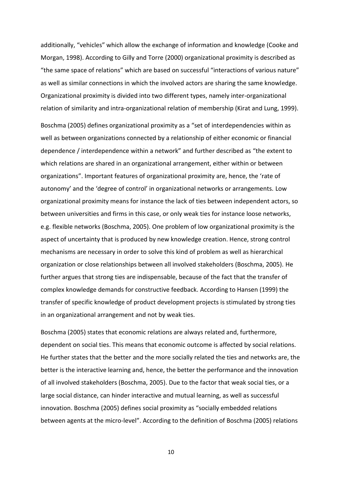additionally, "vehicles" which allow the exchange of information and knowledge (Cooke and Morgan, 1998). According to Gilly and Torre (2000) organizational proximity is described as "the same space of relations" which are based on successful "interactions of various nature" as well as similar connections in which the involved actors are sharing the same knowledge. Organizational proximity is divided into two different types, namely inter-organizational relation of similarity and intra-organizational relation of membership (Kirat and Lung, 1999).

Boschma (2005) defines organizational proximity as a "set of interdependencies within as well as between organizations connected by a relationship of either economic or financial dependence / interdependence within a network" and further described as "the extent to which relations are shared in an organizational arrangement, either within or between organizations". Important features of organizational proximity are, hence, the 'rate of autonomy' and the 'degree of control' in organizational networks or arrangements. Low organizational proximity means for instance the lack of ties between independent actors, so between universities and firms in this case, or only weak ties for instance loose networks, e.g. flexible networks (Boschma, 2005). One problem of low organizational proximity is the aspect of uncertainty that is produced by new knowledge creation. Hence, strong control mechanisms are necessary in order to solve this kind of problem as well as hierarchical organization or close relationships between all involved stakeholders (Boschma, 2005). He further argues that strong ties are indispensable, because of the fact that the transfer of complex knowledge demands for constructive feedback. According to Hansen (1999) the transfer of specific knowledge of product development projects is stimulated by strong ties in an organizational arrangement and not by weak ties.

Boschma (2005) states that economic relations are always related and, furthermore, dependent on social ties. This means that economic outcome is affected by social relations. He further states that the better and the more socially related the ties and networks are, the better is the interactive learning and, hence, the better the performance and the innovation of all involved stakeholders (Boschma, 2005). Due to the factor that weak social ties, or a large social distance, can hinder interactive and mutual learning, as well as successful innovation. Boschma (2005) defines social proximity as "socially embedded relations between agents at the micro-level". According to the definition of Boschma (2005) relations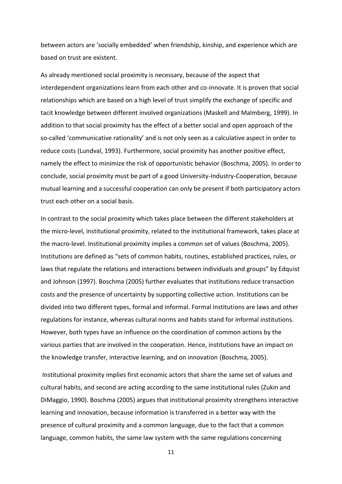between actors are 'socially embedded' when friendship, kinship, and experience which are based on trust are existent.

As already mentioned social proximity is necessary, because of the aspect that interdependent organizations learn from each other and co-innovate. It is proven that social relationships which are based on a high level of trust simplify the exchange of specific and tacit knowledge between different involved organizations (Maskell and Malmberg, 1999). In addition to that social proximity has the effect of a better social and open approach of the so-called 'communicative rationality' and is not only seen as a calculative aspect in order to reduce costs (Lundval, 1993). Furthermore, social proximity has another positive effect, namely the effect to minimize the risk of opportunistic behavior (Boschma, 2005). In order to conclude, social proximity must be part of a good University-Industry-Cooperation, because mutual learning and a successful cooperation can only be present if both participatory actors trust each other on a social basis.

In contrast to the social proximity which takes place between the different stakeholders at the micro-level, institutional proximity, related to the institutional framework, takes place at the macro-level. Institutional proximity implies a common set of values (Boschma, 2005). Institutions are defined as "sets of common habits, routines, established practices, rules, or laws that regulate the relations and interactions between individuals and groups" by Edquist and Johnson (1997). Boschma (2005) further evaluates that institutions reduce transaction costs and the presence of uncertainty by supporting collective action. Institutions can be divided into two different types, formal and informal. Formal institutions are laws and other regulations for instance, whereas cultural norms and habits stand for informal institutions. However, both types have an influence on the coordination of common actions by the various parties that are involved in the cooperation. Hence, institutions have an impact on the knowledge transfer, interactive learning, and on innovation (Boschma, 2005).

Institutional proximity implies first economic actors that share the same set of values and cultural habits, and second are acting according to the same institutional rules (Zukin and DiMaggio, 1990). Boschma (2005) argues that institutional proximity strengthens interactive learning and innovation, because information is transferred in a better way with the presence of cultural proximity and a common language, due to the fact that a common language, common habits, the same law system with the same regulations concerning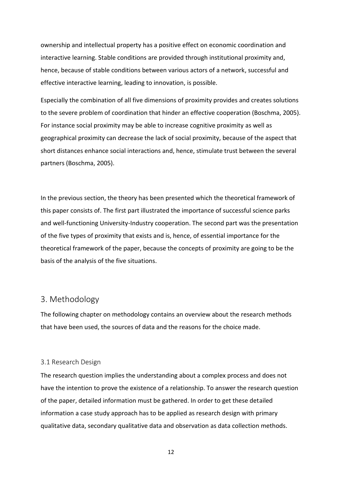ownership and intellectual property has a positive effect on economic coordination and interactive learning. Stable conditions are provided through institutional proximity and, hence, because of stable conditions between various actors of a network, successful and effective interactive learning, leading to innovation, is possible.

Especially the combination of all five dimensions of proximity provides and creates solutions to the severe problem of coordination that hinder an effective cooperation (Boschma, 2005). For instance social proximity may be able to increase cognitive proximity as well as geographical proximity can decrease the lack of social proximity, because of the aspect that short distances enhance social interactions and, hence, stimulate trust between the several partners (Boschma, 2005).

In the previous section, the theory has been presented which the theoretical framework of this paper consists of. The first part illustrated the importance of successful science parks and well-functioning University-Industry cooperation. The second part was the presentation of the five types of proximity that exists and is, hence, of essential importance for the theoretical framework of the paper, because the concepts of proximity are going to be the basis of the analysis of the five situations.

# <span id="page-14-0"></span>3. Methodology

The following chapter on methodology contains an overview about the research methods that have been used, the sources of data and the reasons for the choice made.

#### <span id="page-14-1"></span>3.1 Research Design

The research question implies the understanding about a complex process and does not have the intention to prove the existence of a relationship. To answer the research question of the paper, detailed information must be gathered. In order to get these detailed information a case study approach has to be applied as research design with primary qualitative data, secondary qualitative data and observation as data collection methods.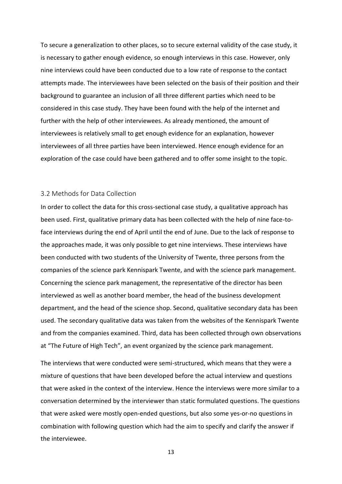To secure a generalization to other places, so to secure external validity of the case study, it is necessary to gather enough evidence, so enough interviews in this case. However, only nine interviews could have been conducted due to a low rate of response to the contact attempts made. The interviewees have been selected on the basis of their position and their background to guarantee an inclusion of all three different parties which need to be considered in this case study. They have been found with the help of the internet and further with the help of other interviewees. As already mentioned, the amount of interviewees is relatively small to get enough evidence for an explanation, however interviewees of all three parties have been interviewed. Hence enough evidence for an exploration of the case could have been gathered and to offer some insight to the topic.

#### <span id="page-15-0"></span>3.2 Methods for Data Collection

In order to collect the data for this cross-sectional case study, a qualitative approach has been used. First, qualitative primary data has been collected with the help of nine face-toface interviews during the end of April until the end of June. Due to the lack of response to the approaches made, it was only possible to get nine interviews. These interviews have been conducted with two students of the University of Twente, three persons from the companies of the science park Kennispark Twente, and with the science park management. Concerning the science park management, the representative of the director has been interviewed as well as another board member, the head of the business development department, and the head of the science shop. Second, qualitative secondary data has been used. The secondary qualitative data was taken from the websites of the Kennispark Twente and from the companies examined. Third, data has been collected through own observations at "The Future of High Tech", an event organized by the science park management.

The interviews that were conducted were semi-structured, which means that they were a mixture of questions that have been developed before the actual interview and questions that were asked in the context of the interview. Hence the interviews were more similar to a conversation determined by the interviewer than static formulated questions. The questions that were asked were mostly open-ended questions, but also some yes-or-no questions in combination with following question which had the aim to specify and clarify the answer if the interviewee.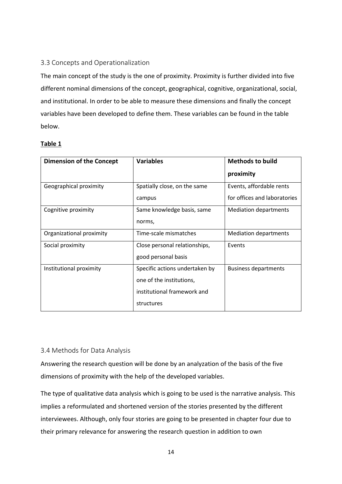### <span id="page-16-0"></span>3.3 Concepts and Operationalization

The main concept of the study is the one of proximity. Proximity is further divided into five different nominal dimensions of the concept, geographical, cognitive, organizational, social, and institutional. In order to be able to measure these dimensions and finally the concept variables have been developed to define them. These variables can be found in the table below.

### **Table 1**

| <b>Dimension of the Concept</b> | <b>Variables</b>               | <b>Methods to build</b>      |  |
|---------------------------------|--------------------------------|------------------------------|--|
|                                 |                                | proximity                    |  |
| Geographical proximity          | Spatially close, on the same   | Events, affordable rents     |  |
|                                 | campus                         | for offices and laboratories |  |
| Cognitive proximity             | Same knowledge basis, same     | <b>Mediation departments</b> |  |
|                                 | norms,                         |                              |  |
| Organizational proximity        | Time-scale mismatches          | <b>Mediation departments</b> |  |
| Social proximity                | Close personal relationships,  | Events                       |  |
|                                 | good personal basis            |                              |  |
| Institutional proximity         | Specific actions undertaken by | <b>Business departments</b>  |  |
|                                 | one of the institutions,       |                              |  |
|                                 | institutional framework and    |                              |  |
|                                 | structures                     |                              |  |

### <span id="page-16-1"></span>3.4 Methods for Data Analysis

Answering the research question will be done by an analyzation of the basis of the five dimensions of proximity with the help of the developed variables.

The type of qualitative data analysis which is going to be used is the narrative analysis. This implies a reformulated and shortened version of the stories presented by the different interviewees. Although, only four stories are going to be presented in chapter four due to their primary relevance for answering the research question in addition to own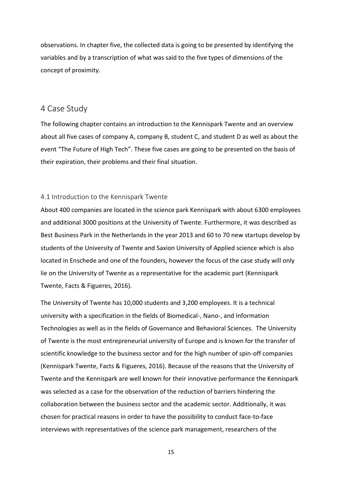observations. In chapter five, the collected data is going to be presented by identifying the variables and by a transcription of what was said to the five types of dimensions of the concept of proximity.

### <span id="page-17-0"></span>4 Case Study

The following chapter contains an introduction to the Kennispark Twente and an overview about all five cases of company A, company B, student C, and student D as well as about the event "The Future of High Tech". These five cases are going to be presented on the basis of their expiration, their problems and their final situation.

#### <span id="page-17-1"></span>4.1 Introduction to the Kennispark Twente

About 400 companies are located in the science park Kennispark with about 6300 employees and additional 3000 positions at the University of Twente. Furthermore, it was described as Best Business Park in the Netherlands in the year 2013 and 60 to 70 new startups develop by students of the University of Twente and Saxion University of Applied science which is also located in Enschede and one of the founders, however the focus of the case study will only lie on the University of Twente as a representative for the academic part (Kennispark Twente, Facts & Figueres, 2016).

The University of Twente has 10,000 students and 3,200 employees. It is a technical university with a specification in the fields of Biomedical-, Nano-, and Information Technologies as well as in the fields of Governance and Behavioral Sciences. The University of Twente is the most entrepreneurial university of Europe and is known for the transfer of scientific knowledge to the business sector and for the high number of spin-off companies (Kennispark Twente, Facts & Figueres, 2016). Because of the reasons that the University of Twente and the Kennispark are well known for their innovative performance the Kennispark was selected as a case for the observation of the reduction of barriers hindering the collaboration between the business sector and the academic sector. Additionally, it was chosen for practical reasons in order to have the possibility to conduct face-to-face interviews with representatives of the science park management, researchers of the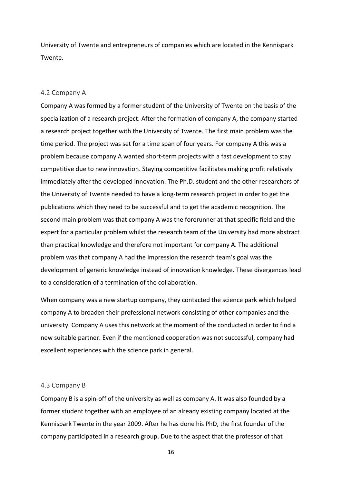University of Twente and entrepreneurs of companies which are located in the Kennispark Twente.

#### <span id="page-18-0"></span>4.2 Company A

Company A was formed by a former student of the University of Twente on the basis of the specialization of a research project. After the formation of company A, the company started a research project together with the University of Twente. The first main problem was the time period. The project was set for a time span of four years. For company A this was a problem because company A wanted short-term projects with a fast development to stay competitive due to new innovation. Staying competitive facilitates making profit relatively immediately after the developed innovation. The Ph.D. student and the other researchers of the University of Twente needed to have a long-term research project in order to get the publications which they need to be successful and to get the academic recognition. The second main problem was that company A was the forerunner at that specific field and the expert for a particular problem whilst the research team of the University had more abstract than practical knowledge and therefore not important for company A. The additional problem was that company A had the impression the research team's goal was the development of generic knowledge instead of innovation knowledge. These divergences lead to a consideration of a termination of the collaboration.

When company was a new startup company, they contacted the science park which helped company A to broaden their professional network consisting of other companies and the university. Company A uses this network at the moment of the conducted in order to find a new suitable partner. Even if the mentioned cooperation was not successful, company had excellent experiences with the science park in general.

#### <span id="page-18-1"></span>4.3 Company B

Company B is a spin-off of the university as well as company A. It was also founded by a former student together with an employee of an already existing company located at the Kennispark Twente in the year 2009. After he has done his PhD, the first founder of the company participated in a research group. Due to the aspect that the professor of that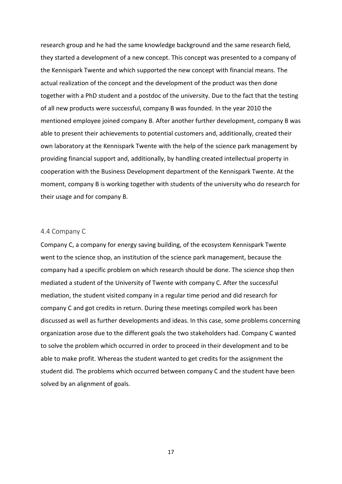research group and he had the same knowledge background and the same research field, they started a development of a new concept. This concept was presented to a company of the Kennispark Twente and which supported the new concept with financial means. The actual realization of the concept and the development of the product was then done together with a PhD student and a postdoc of the university. Due to the fact that the testing of all new products were successful, company B was founded. In the year 2010 the mentioned employee joined company B. After another further development, company B was able to present their achievements to potential customers and, additionally, created their own laboratory at the Kennispark Twente with the help of the science park management by providing financial support and, additionally, by handling created intellectual property in cooperation with the Business Development department of the Kennispark Twente. At the moment, company B is working together with students of the university who do research for their usage and for company B.

#### <span id="page-19-0"></span>4.4 Company C

Company C, a company for energy saving building, of the ecosystem Kennispark Twente went to the science shop, an institution of the science park management, because the company had a specific problem on which research should be done. The science shop then mediated a student of the University of Twente with company C. After the successful mediation, the student visited company in a regular time period and did research for company C and got credits in return. During these meetings compiled work has been discussed as well as further developments and ideas. In this case, some problems concerning organization arose due to the different goals the two stakeholders had. Company C wanted to solve the problem which occurred in order to proceed in their development and to be able to make profit. Whereas the student wanted to get credits for the assignment the student did. The problems which occurred between company C and the student have been solved by an alignment of goals.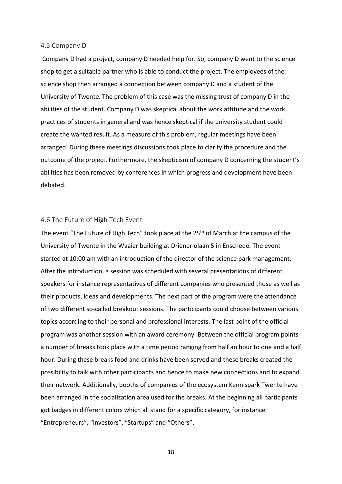#### <span id="page-20-0"></span>4.5 Company D

Company D had a project, company D needed help for. So, company D went to the science shop to get a suitable partner who is able to conduct the project. The employees of the science shop then arranged a connection between company D and a student of the University of Twente. The problem of this case was the missing trust of company D in the abilities of the student. Company D was skeptical about the work attitude and the work practices of students in general and was hence skeptical if the university student could create the wanted result. As a measure of this problem, regular meetings have been arranged. During these meetings discussions took place to clarify the procedure and the outcome of the project. Furthermore, the skepticism of company D concerning the student's abilities has been removed by conferences in which progress and development have been debated.

#### <span id="page-20-1"></span>4.6 The Future of High Tech Event

The event "The Future of High Tech" took place at the 25<sup>th</sup> of March at the campus of the University of Twente in the Waaier building at Drienerlolaan 5 in Enschede. The event started at 10:00 am with an introduction of the director of the science park management. After the introduction, a session was scheduled with several presentations of different speakers for instance representatives of different companies who presented those as well as their products, ideas and developments. The next part of the program were the attendance of two different so-called breakout sessions. The participants could choose between various topics according to their personal and professional interests. The last point of the official program was another session with an award ceremony. Between the official program points a number of breaks took place with a time period ranging from half an hour to one and a half hour. During these breaks food and drinks have been served and these breaks created the possibility to talk with other participants and hence to make new connections and to expand their network. Additionally, booths of companies of the ecosystem Kennispark Twente have been arranged in the socialization area used for the breaks. At the beginning all participants got badges in different colors which all stand for a specific category, for instance "Entrepreneurs", "Investors", "Startups" and "Others".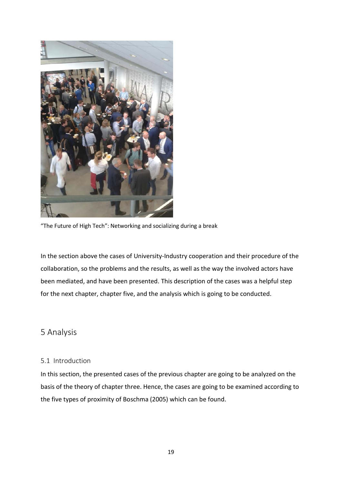

"The Future of High Tech": Networking and socializing during a break

In the section above the cases of University-Industry cooperation and their procedure of the collaboration, so the problems and the results, as well as the way the involved actors have been mediated, and have been presented. This description of the cases was a helpful step for the next chapter, chapter five, and the analysis which is going to be conducted.

# <span id="page-21-0"></span>5 Analysis

#### <span id="page-21-1"></span>5.1 Introduction

In this section, the presented cases of the previous chapter are going to be analyzed on the basis of the theory of chapter three. Hence, the cases are going to be examined according to the five types of proximity of Boschma (2005) which can be found.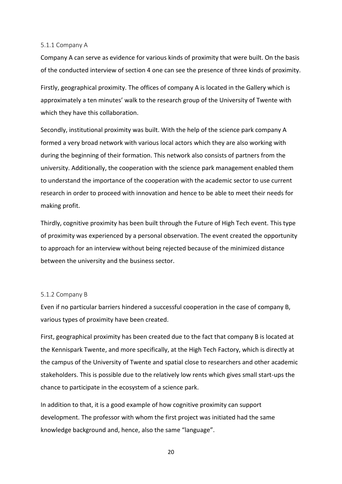#### <span id="page-22-0"></span>5.1.1 Company A

Company A can serve as evidence for various kinds of proximity that were built. On the basis of the conducted interview of section 4 one can see the presence of three kinds of proximity.

Firstly, geographical proximity. The offices of company A is located in the Gallery which is approximately a ten minutes' walk to the research group of the University of Twente with which they have this collaboration.

Secondly, institutional proximity was built. With the help of the science park company A formed a very broad network with various local actors which they are also working with during the beginning of their formation. This network also consists of partners from the university. Additionally, the cooperation with the science park management enabled them to understand the importance of the cooperation with the academic sector to use current research in order to proceed with innovation and hence to be able to meet their needs for making profit.

Thirdly, cognitive proximity has been built through the Future of High Tech event. This type of proximity was experienced by a personal observation. The event created the opportunity to approach for an interview without being rejected because of the minimized distance between the university and the business sector.

#### <span id="page-22-1"></span>5.1.2 Company B

Even if no particular barriers hindered a successful cooperation in the case of company B, various types of proximity have been created.

First, geographical proximity has been created due to the fact that company B is located at the Kennispark Twente, and more specifically, at the High Tech Factory, which is directly at the campus of the University of Twente and spatial close to researchers and other academic stakeholders. This is possible due to the relatively low rents which gives small start-ups the chance to participate in the ecosystem of a science park.

In addition to that, it is a good example of how cognitive proximity can support development. The professor with whom the first project was initiated had the same knowledge background and, hence, also the same "language".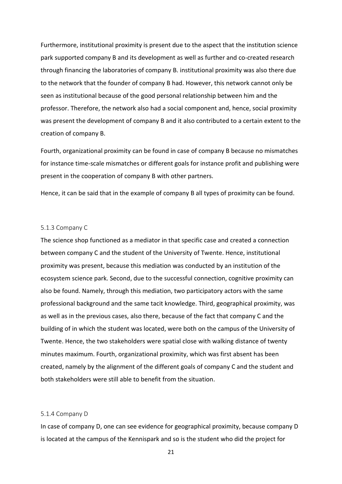Furthermore, institutional proximity is present due to the aspect that the institution science park supported company B and its development as well as further and co-created research through financing the laboratories of company B. institutional proximity was also there due to the network that the founder of company B had. However, this network cannot only be seen as institutional because of the good personal relationship between him and the professor. Therefore, the network also had a social component and, hence, social proximity was present the development of company B and it also contributed to a certain extent to the creation of company B.

Fourth, organizational proximity can be found in case of company B because no mismatches for instance time-scale mismatches or different goals for instance profit and publishing were present in the cooperation of company B with other partners.

Hence, it can be said that in the example of company B all types of proximity can be found.

#### <span id="page-23-0"></span>5.1.3 Company C

The science shop functioned as a mediator in that specific case and created a connection between company C and the student of the University of Twente. Hence, institutional proximity was present, because this mediation was conducted by an institution of the ecosystem science park. Second, due to the successful connection, cognitive proximity can also be found. Namely, through this mediation, two participatory actors with the same professional background and the same tacit knowledge. Third, geographical proximity, was as well as in the previous cases, also there, because of the fact that company C and the building of in which the student was located, were both on the campus of the University of Twente. Hence, the two stakeholders were spatial close with walking distance of twenty minutes maximum. Fourth, organizational proximity, which was first absent has been created, namely by the alignment of the different goals of company C and the student and both stakeholders were still able to benefit from the situation.

#### <span id="page-23-1"></span>5.1.4 Company D

In case of company D, one can see evidence for geographical proximity, because company D is located at the campus of the Kennispark and so is the student who did the project for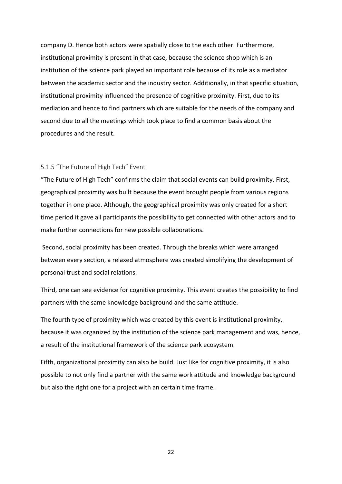company D. Hence both actors were spatially close to the each other. Furthermore, institutional proximity is present in that case, because the science shop which is an institution of the science park played an important role because of its role as a mediator between the academic sector and the industry sector. Additionally, in that specific situation, institutional proximity influenced the presence of cognitive proximity. First, due to its mediation and hence to find partners which are suitable for the needs of the company and second due to all the meetings which took place to find a common basis about the procedures and the result.

#### <span id="page-24-0"></span>5.1.5 "The Future of High Tech" Event

"The Future of High Tech" confirms the claim that social events can build proximity. First, geographical proximity was built because the event brought people from various regions together in one place. Although, the geographical proximity was only created for a short time period it gave all participants the possibility to get connected with other actors and to make further connections for new possible collaborations.

Second, social proximity has been created. Through the breaks which were arranged between every section, a relaxed atmosphere was created simplifying the development of personal trust and social relations.

Third, one can see evidence for cognitive proximity. This event creates the possibility to find partners with the same knowledge background and the same attitude.

The fourth type of proximity which was created by this event is institutional proximity, because it was organized by the institution of the science park management and was, hence, a result of the institutional framework of the science park ecosystem.

Fifth, organizational proximity can also be build. Just like for cognitive proximity, it is also possible to not only find a partner with the same work attitude and knowledge background but also the right one for a project with an certain time frame.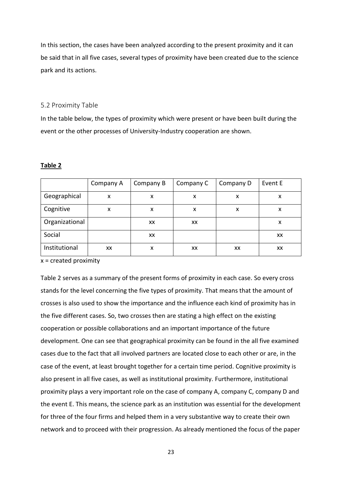In this section, the cases have been analyzed according to the present proximity and it can be said that in all five cases, several types of proximity have been created due to the science park and its actions.

#### <span id="page-25-0"></span>5.2 Proximity Table

In the table below, the types of proximity which were present or have been built during the event or the other processes of University-Industry cooperation are shown.

#### **Table 2**

|                | Company A | Company B | Company C | Company D | Event E |
|----------------|-----------|-----------|-----------|-----------|---------|
| Geographical   | X         | x         | x         | x         | X       |
| Cognitive      | x         | x         | x         | x         | X       |
| Organizational |           | XХ        | XX        |           | x       |
| Social         |           | XX        |           |           | XX      |
| Institutional  | XХ        | X         | XX        | XX        | XX      |

 $x =$  created proximity

Table 2 serves as a summary of the present forms of proximity in each case. So every cross stands for the level concerning the five types of proximity. That means that the amount of crosses is also used to show the importance and the influence each kind of proximity has in the five different cases. So, two crosses then are stating a high effect on the existing cooperation or possible collaborations and an important importance of the future development. One can see that geographical proximity can be found in the all five examined cases due to the fact that all involved partners are located close to each other or are, in the case of the event, at least brought together for a certain time period. Cognitive proximity is also present in all five cases, as well as institutional proximity. Furthermore, institutional proximity plays a very important role on the case of company A, company C, company D and the event E. This means, the science park as an institution was essential for the development for three of the four firms and helped them in a very substantive way to create their own network and to proceed with their progression. As already mentioned the focus of the paper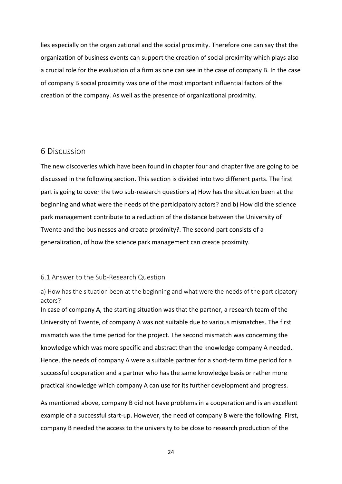lies especially on the organizational and the social proximity. Therefore one can say that the organization of business events can support the creation of social proximity which plays also a crucial role for the evaluation of a firm as one can see in the case of company B. In the case of company B social proximity was one of the most important influential factors of the creation of the company. As well as the presence of organizational proximity.

### <span id="page-26-0"></span>6 Discussion

The new discoveries which have been found in chapter four and chapter five are going to be discussed in the following section. This section is divided into two different parts. The first part is going to cover the two sub-research questions a) How has the situation been at the beginning and what were the needs of the participatory actors? and b) How did the science park management contribute to a reduction of the distance between the University of Twente and the businesses and create proximity?. The second part consists of a generalization, of how the science park management can create proximity.

### <span id="page-26-1"></span>6.1 Answer to the Sub-Research Question

<span id="page-26-2"></span>a) How has the situation been at the beginning and what were the needs of the participatory actors?

In case of company A, the starting situation was that the partner, a research team of the University of Twente, of company A was not suitable due to various mismatches. The first mismatch was the time period for the project. The second mismatch was concerning the knowledge which was more specific and abstract than the knowledge company A needed. Hence, the needs of company A were a suitable partner for a short-term time period for a successful cooperation and a partner who has the same knowledge basis or rather more practical knowledge which company A can use for its further development and progress.

As mentioned above, company B did not have problems in a cooperation and is an excellent example of a successful start-up. However, the need of company B were the following. First, company B needed the access to the university to be close to research production of the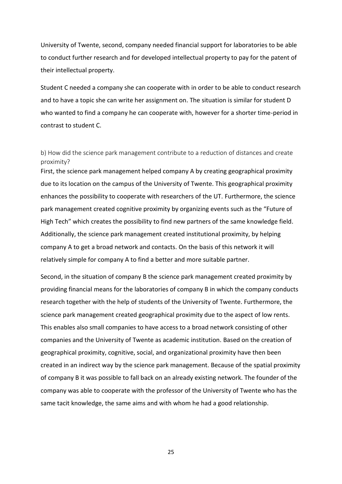University of Twente, second, company needed financial support for laboratories to be able to conduct further research and for developed intellectual property to pay for the patent of their intellectual property.

Student C needed a company she can cooperate with in order to be able to conduct research and to have a topic she can write her assignment on. The situation is similar for student D who wanted to find a company he can cooperate with, however for a shorter time-period in contrast to student C.

<span id="page-27-0"></span>b) How did the science park management contribute to a reduction of distances and create proximity?

First, the science park management helped company A by creating geographical proximity due to its location on the campus of the University of Twente. This geographical proximity enhances the possibility to cooperate with researchers of the UT. Furthermore, the science park management created cognitive proximity by organizing events such as the "Future of High Tech" which creates the possibility to find new partners of the same knowledge field. Additionally, the science park management created institutional proximity, by helping company A to get a broad network and contacts. On the basis of this network it will relatively simple for company A to find a better and more suitable partner.

Second, in the situation of company B the science park management created proximity by providing financial means for the laboratories of company B in which the company conducts research together with the help of students of the University of Twente. Furthermore, the science park management created geographical proximity due to the aspect of low rents. This enables also small companies to have access to a broad network consisting of other companies and the University of Twente as academic institution. Based on the creation of geographical proximity, cognitive, social, and organizational proximity have then been created in an indirect way by the science park management. Because of the spatial proximity of company B it was possible to fall back on an already existing network. The founder of the company was able to cooperate with the professor of the University of Twente who has the same tacit knowledge, the same aims and with whom he had a good relationship.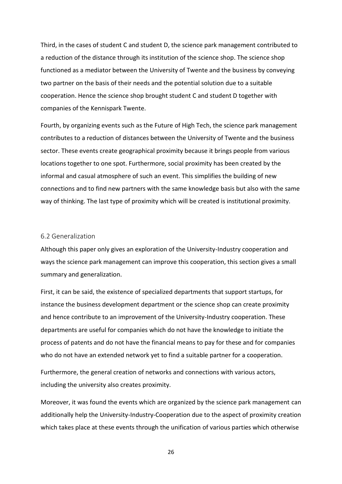Third, in the cases of student C and student D, the science park management contributed to a reduction of the distance through its institution of the science shop. The science shop functioned as a mediator between the University of Twente and the business by conveying two partner on the basis of their needs and the potential solution due to a suitable cooperation. Hence the science shop brought student C and student D together with companies of the Kennispark Twente.

Fourth, by organizing events such as the Future of High Tech, the science park management contributes to a reduction of distances between the University of Twente and the business sector. These events create geographical proximity because it brings people from various locations together to one spot. Furthermore, social proximity has been created by the informal and casual atmosphere of such an event. This simplifies the building of new connections and to find new partners with the same knowledge basis but also with the same way of thinking. The last type of proximity which will be created is institutional proximity.

#### <span id="page-28-0"></span>6.2 Generalization

Although this paper only gives an exploration of the University-Industry cooperation and ways the science park management can improve this cooperation, this section gives a small summary and generalization.

First, it can be said, the existence of specialized departments that support startups, for instance the business development department or the science shop can create proximity and hence contribute to an improvement of the University-Industry cooperation. These departments are useful for companies which do not have the knowledge to initiate the process of patents and do not have the financial means to pay for these and for companies who do not have an extended network yet to find a suitable partner for a cooperation.

Furthermore, the general creation of networks and connections with various actors, including the university also creates proximity.

Moreover, it was found the events which are organized by the science park management can additionally help the University-Industry-Cooperation due to the aspect of proximity creation which takes place at these events through the unification of various parties which otherwise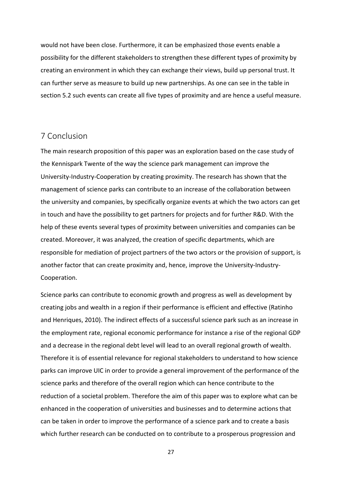would not have been close. Furthermore, it can be emphasized those events enable a possibility for the different stakeholders to strengthen these different types of proximity by creating an environment in which they can exchange their views, build up personal trust. It can further serve as measure to build up new partnerships. As one can see in the table in section 5.2 such events can create all five types of proximity and are hence a useful measure.

# <span id="page-29-0"></span>7 Conclusion

The main research proposition of this paper was an exploration based on the case study of the Kennispark Twente of the way the science park management can improve the University-Industry-Cooperation by creating proximity. The research has shown that the management of science parks can contribute to an increase of the collaboration between the university and companies, by specifically organize events at which the two actors can get in touch and have the possibility to get partners for projects and for further R&D. With the help of these events several types of proximity between universities and companies can be created. Moreover, it was analyzed, the creation of specific departments, which are responsible for mediation of project partners of the two actors or the provision of support, is another factor that can create proximity and, hence, improve the University-Industry-Cooperation.

Science parks can contribute to economic growth and progress as well as development by creating jobs and wealth in a region if their performance is efficient and effective (Ratinho and Henriques, 2010). The indirect effects of a successful science park such as an increase in the employment rate, regional economic performance for instance a rise of the regional GDP and a decrease in the regional debt level will lead to an overall regional growth of wealth. Therefore it is of essential relevance for regional stakeholders to understand to how science parks can improve UIC in order to provide a general improvement of the performance of the science parks and therefore of the overall region which can hence contribute to the reduction of a societal problem. Therefore the aim of this paper was to explore what can be enhanced in the cooperation of universities and businesses and to determine actions that can be taken in order to improve the performance of a science park and to create a basis which further research can be conducted on to contribute to a prosperous progression and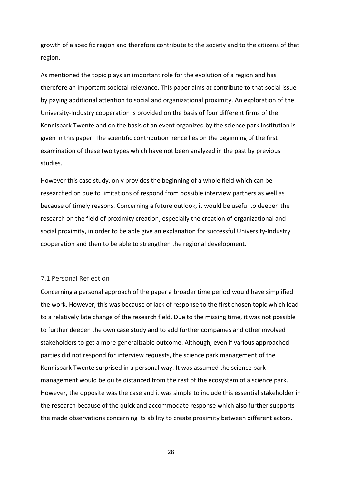growth of a specific region and therefore contribute to the society and to the citizens of that region.

As mentioned the topic plays an important role for the evolution of a region and has therefore an important societal relevance. This paper aims at contribute to that social issue by paying additional attention to social and organizational proximity. An exploration of the University-Industry cooperation is provided on the basis of four different firms of the Kennispark Twente and on the basis of an event organized by the science park institution is given in this paper. The scientific contribution hence lies on the beginning of the first examination of these two types which have not been analyzed in the past by previous studies.

However this case study, only provides the beginning of a whole field which can be researched on due to limitations of respond from possible interview partners as well as because of timely reasons. Concerning a future outlook, it would be useful to deepen the research on the field of proximity creation, especially the creation of organizational and social proximity, in order to be able give an explanation for successful University-Industry cooperation and then to be able to strengthen the regional development.

#### <span id="page-30-0"></span>7.1 Personal Reflection

Concerning a personal approach of the paper a broader time period would have simplified the work. However, this was because of lack of response to the first chosen topic which lead to a relatively late change of the research field. Due to the missing time, it was not possible to further deepen the own case study and to add further companies and other involved stakeholders to get a more generalizable outcome. Although, even if various approached parties did not respond for interview requests, the science park management of the Kennispark Twente surprised in a personal way. It was assumed the science park management would be quite distanced from the rest of the ecosystem of a science park. However, the opposite was the case and it was simple to include this essential stakeholder in the research because of the quick and accommodate response which also further supports the made observations concerning its ability to create proximity between different actors.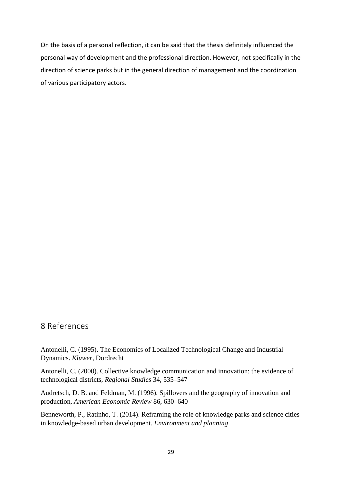On the basis of a personal reflection, it can be said that the thesis definitely influenced the personal way of development and the professional direction. However, not specifically in the direction of science parks but in the general direction of management and the coordination of various participatory actors.

# <span id="page-31-0"></span>8 References

Antonelli, C. (1995). The Economics of Localized Technological Change and Industrial Dynamics. *Kluwer*, Dordrecht

Antonelli, C. (2000). Collective knowledge communication and innovation: the evidence of technological districts, *Regional Studies* 34, 535–547

Audretsch, D. B. and Feldman, M. (1996). Spillovers and the geography of innovation and production, *American Economic Review* 86, 630–640

Benneworth, P., Ratinho, T. (2014). Reframing the role of knowledge parks and science cities in knowledge-based urban development. *Environment and planning*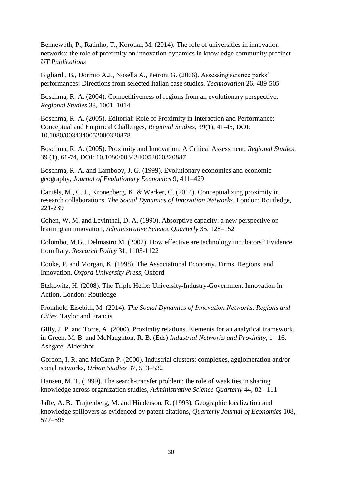Bennewoth, P., Ratinho, T., Korotka, M. (2014). The role of universities in innovation networks: the role of proximity on innovation dynamics in knowledge community precinct *UT Publications*

Bigliardi, B., Dormio A.J., Nosella A., Petroni G. (2006). Assessing science parks' performances: Directions from selected Italian case studies. *Technovation* 26, 489-505

Boschma, R. A. (2004). Competitiveness of regions from an evolutionary perspective, *Regional Studies* 38, 1001–1014

Boschma, R. A. (2005). Editorial: Role of Proximity in Interaction and Performance: Conceptual and Empirical Challenges, *Regional Studies*, 39(1), 41-45, DOI: 10.1080/0034340052000320878

Boschma, R. A. (2005). Proximity and Innovation: A Critical Assessment, *Regional Studies*, 39 (1), 61-74, DOI: 10.1080/0034340052000320887

Boschma, R. A. and Lambooy, J. G. (1999). Evolutionary economics and economic geography, *Journal of Evolutionary Economics* 9, 411–429

Caniëls, M., C. J., Kronenberg, K. & Werker, C. (2014). Conceptualizing proximity in research collaborations. *The Social Dynamics of Innovation Networks*, London: Routledge, 221-239

Cohen, W. M. and Levinthal, D. A. (1990). Absorptive capacity: a new perspective on learning an innovation, *Administrative Science Quarterly* 35, 128–152

Colombo, M.G., Delmastro M. (2002). How effective are technology incubators? Evidence from Italy. *Research Policy* 31, 1103-1122

Cooke, P. and Morgan, K. (1998). The Associational Economy. Firms, Regions, and Innovation. *Oxford University Press*, Oxford

Etzkowitz, H. (2008). The Triple Helix: University-Industry-Government Innovation In Action, London: Routledge

Fromhold-Eisebith, M. (2014). *The Social Dynamics of Innovation Networks*. *Regions and Cities.* Taylor and Francis

Gilly, J. P. and Torre, A. (2000). Proximity relations. Elements for an analytical framework, in Green, M. B. and McNaughton, R. B. (Eds) *Industrial Networks and Proximity*, 1 –16. Ashgate, Aldershot

Gordon, I. R. and McCann P. (2000). Industrial clusters: complexes, agglomeration and/or social networks, *Urban Studies* 37, 513–532

Hansen, M. T. (1999). The search-transfer problem: the role of weak ties in sharing knowledge across organization studies, *Administrative Science Quarterly* 44, 82 –111

Jaffe, A. B., Trajtenberg, M. and Hinderson, R. (1993). Geographic localization and knowledge spillovers as evidenced by patent citations, *Quarterly Journal of Economics* 108, 577–598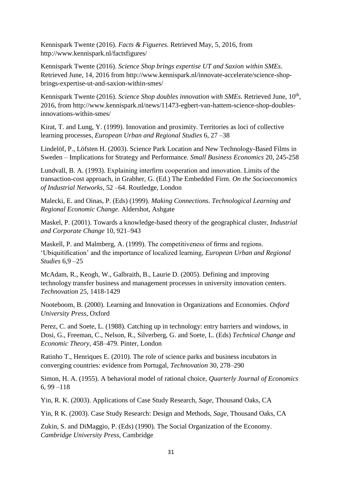Kennispark Twente (2016). *Facts & Figueres.* Retrieved May, 5, 2016, from <http://www.kennispark.nl/factsfigures/>

Kennispark Twente (2016). *Science Shop brings expertise UT and Saxion within SMEs*. Retrieved June, 14, 2016 from [http://www.kennispark.nl/innovate-accelerate/science-shop](http://www.kennispark.nl/innovate-accelerate/science-shop-brings-expertise-ut-and-saxion-within-smes/)[brings-expertise-ut-and-saxion-within-smes/](http://www.kennispark.nl/innovate-accelerate/science-shop-brings-expertise-ut-and-saxion-within-smes/)

Kennispark Twente (2016). Science Shop doubles innovation with SMEs. Retrieved June, 10<sup>th</sup>, 2016, from [http://www.kennispark.nl/news/11473-egbert-van-hattem-science-shop-doubles](http://www.kennispark.nl/news/11473-egbert-van-hattem-science-shop-doubles-innovations-within-smes/)[innovations-within-smes/](http://www.kennispark.nl/news/11473-egbert-van-hattem-science-shop-doubles-innovations-within-smes/)

Kirat, T. and Lung, Y. (1999). Innovation and proximity. Territories as loci of collective learning processes, *European Urban and Regional Studies* 6, 27 –38

Lindelöf, P., Löfsten H. (2003). Science Park Location and New Technology-Based Films in Sweden – Implications for Strategy and Performance. *Small Business Economics* 20, 245-258

Lundvall, B. A. (1993). Explaining interfirm cooperation and innovation. Limits of the transaction-cost approach, in Grabher, G. (Ed.) The Embedded Firm. *On the Socioeconomics of Industrial Networks*, 52 –64. Routledge, London

Malecki, E. and Oinas, P. (Eds) (1999). *Making Connections. Technological Learning and Regional Economic Change*. Aldershot, Ashgate

Maskel, P. (2001). Towards a knowledge-based theory of the geographical cluster, *Industrial and Corporate Change* 10, 921–943

Maskell, P. and Malmberg, A. (1999). The competitiveness of firms and regions. 'Ubiquitification' and the importance of localized learning, *European Urban and Regional Studies* 6,9 –25

McAdam, R., Keogh, W., Galbraith, B., Laurie D. (2005). Defining and improving technology transfer business and management processes in university innovation centers. *Technovation* 25, 1418-1429

Nooteboom, B. (2000). Learning and Innovation in Organizations and Economies. *Oxford University Press*, Oxford

Perez, C. and Soete, L. (1988). Catching up in technology: entry barriers and windows, in Dosi, G., Freeman, C., Nelson, R., Silverberg, G. and Soete, L. (Eds) *Technical Change and Economic Theory*, 458–479. Pinter, London

Ratinho T., Henriques E. (2010). The role of science parks and business incubators in converging countries: evidence from Portugal, *Technovation* 30, 278–290

Simon, H. A. (1955). A behavioral model of rational choice, *Quarterly Journal of Economics* 6, 99 –118

Yin, R. K. (2003). Applications of Case Study Research, *Sage*, Thousand Oaks, CA

Yin, R K. (2003). Case Study Research: Design and Methods, *Sage*, Thousand Oaks, CA

Zukin, S. and DiMaggio, P. (Eds) (1990). The Social Organization of the Economy. *Cambridge University Press*, Cambridge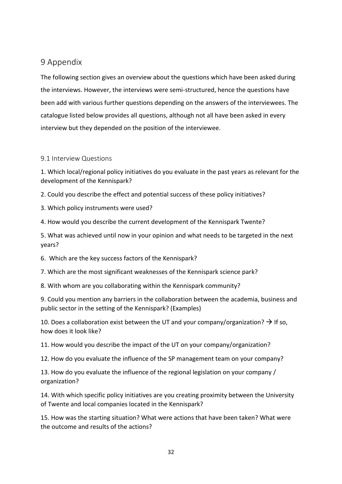# <span id="page-34-0"></span>9 Appendix

The following section gives an overview about the questions which have been asked during the interviews. However, the interviews were semi-structured, hence the questions have been add with various further questions depending on the answers of the interviewees. The catalogue listed below provides all questions, although not all have been asked in every interview but they depended on the position of the interviewee.

### <span id="page-34-1"></span>9.1 Interview Questions

1. Which local/regional policy initiatives do you evaluate in the past years as relevant for the development of the Kennispark?

2. Could you describe the effect and potential success of these policy initiatives?

3. Which policy instruments were used?

4. How would you describe the current development of the Kennispark Twente?

5. What was achieved until now in your opinion and what needs to be targeted in the next years?

6. Which are the key success factors of the Kennispark?

7. Which are the most significant weaknesses of the Kennispark science park?

8. With whom are you collaborating within the Kennispark community?

9. Could you mention any barriers in the collaboration between the academia, business and public sector in the setting of the Kennispark? (Examples)

10. Does a collaboration exist between the UT and your company/organization?  $\rightarrow$  If so, how does it look like?

11. How would you describe the impact of the UT on your company/organization?

12. How do you evaluate the influence of the SP management team on your company?

13. How do you evaluate the influence of the regional legislation on your company / organization?

14. With which specific policy initiatives are you creating proximity between the University of Twente and local companies located in the Kennispark?

15. How was the starting situation? What were actions that have been taken? What were the outcome and results of the actions?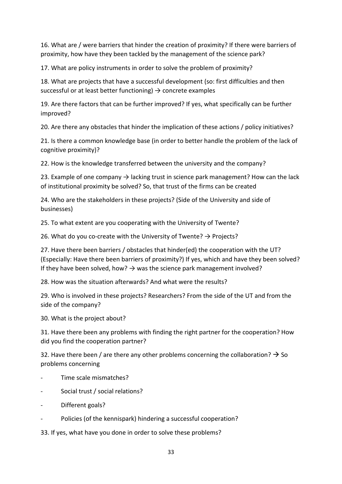16. What are / were barriers that hinder the creation of proximity? If there were barriers of proximity, how have they been tackled by the management of the science park?

17. What are policy instruments in order to solve the problem of proximity?

18. What are projects that have a successful development (so: first difficulties and then successful or at least better functioning)  $\rightarrow$  concrete examples

19. Are there factors that can be further improved? If yes, what specifically can be further improved?

20. Are there any obstacles that hinder the implication of these actions / policy initiatives?

21. Is there a common knowledge base (in order to better handle the problem of the lack of cognitive proximity)?

22. How is the knowledge transferred between the university and the company?

23. Example of one company  $\rightarrow$  lacking trust in science park management? How can the lack of institutional proximity be solved? So, that trust of the firms can be created

24. Who are the stakeholders in these projects? (Side of the University and side of businesses)

25. To what extent are you cooperating with the University of Twente?

26. What do you co-create with the University of Twente?  $\rightarrow$  Projects?

27. Have there been barriers / obstacles that hinder(ed) the cooperation with the UT? (Especially: Have there been barriers of proximity?) If yes, which and have they been solved? If they have been solved, how?  $\rightarrow$  was the science park management involved?

28. How was the situation afterwards? And what were the results?

29. Who is involved in these projects? Researchers? From the side of the UT and from the side of the company?

30. What is the project about?

31. Have there been any problems with finding the right partner for the cooperation? How did you find the cooperation partner?

32. Have there been / are there any other problems concerning the collaboration?  $\rightarrow$  So problems concerning

- Time scale mismatches?
- Social trust / social relations?
- Different goals?
- Policies (of the kennispark) hindering a successful cooperation?

33. If yes, what have you done in order to solve these problems?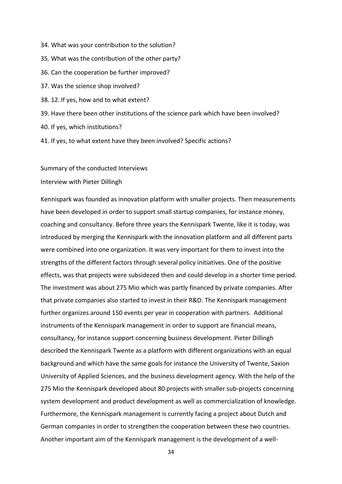- 34. What was your contribution to the solution?
- 35. What was the contribution of the other party?
- 36. Can the cooperation be further improved?
- 37. Was the science shop involved?
- 38. 12. If yes, how and to what extent?
- 39. Have there been other institutions of the science park which have been involved?
- 40. If yes, which institutions?
- 41. If yes, to what extent have they been involved? Specific actions?

#### Summary of the conducted Interviews

#### Interview with Pieter Dillingh

Kennispark was founded as innovation platform with smaller projects. Then measurements have been developed in order to support small startup companies, for instance money, coaching and consultancy. Before three years the Kennispark Twente, like it is today, was introduced by merging the Kennispark with the innovation platform and all different parts were combined into one organization. It was very important for them to invest into the strengths of the different factors through several policy initiatives. One of the positive effects, was that projects were subsidezed then and could develop in a shorter time period. The investment was about 275 Mio which was partly financed by private companies. After that private companies also started to invest in their R&D. The Kennispark management further organizes around 150 events per year in cooperation with partners. Additional instruments of the Kennispark management in order to support are financial means, consultancy, for instance support concerning business development. Pieter Dillingh described the Kennispark Twente as a platform with different organizations with an equal background and which have the same goals for instance the University of Twente, Saxion University of Applied Sciences, and the business development agency. With the help of the 275 Mio the Kennispark developed about 80 projects with smaller sub-projects concerning system development and product development as well as commercialization of knowledge. Furthermore, the Kennispark management is currently facing a project about Dutch and German companies in order to strengthen the cooperation between these two countries. Another important aim of the Kennispark management is the development of a well-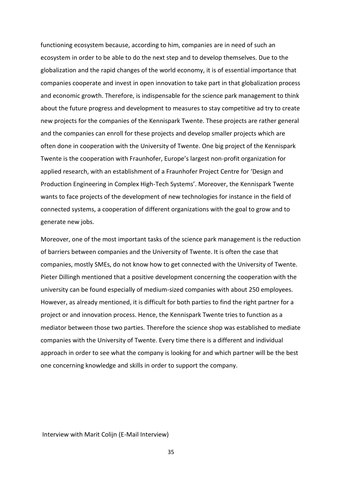functioning ecosystem because, according to him, companies are in need of such an ecosystem in order to be able to do the next step and to develop themselves. Due to the globalization and the rapid changes of the world economy, it is of essential importance that companies cooperate and invest in open innovation to take part in that globalization process and economic growth. Therefore, is indispensable for the science park management to think about the future progress and development to measures to stay competitive ad try to create new projects for the companies of the Kennispark Twente. These projects are rather general and the companies can enroll for these projects and develop smaller projects which are often done in cooperation with the University of Twente. One big project of the Kennispark Twente is the cooperation with Fraunhofer, Europe's largest non-profit organization for applied research, with an establishment of a Fraunhofer Project Centre for 'Design and Production Engineering in Complex High-Tech Systems'. Moreover, the Kennispark Twente wants to face projects of the development of new technologies for instance in the field of connected systems, a cooperation of different organizations with the goal to grow and to generate new jobs.

Moreover, one of the most important tasks of the science park management is the reduction of barriers between companies and the University of Twente. It is often the case that companies, mostly SMEs, do not know how to get connected with the University of Twente. Pieter Dillingh mentioned that a positive development concerning the cooperation with the university can be found especially of medium-sized companies with about 250 employees. However, as already mentioned, it is difficult for both parties to find the right partner for a project or and innovation process. Hence, the Kennispark Twente tries to function as a mediator between those two parties. Therefore the science shop was established to mediate companies with the University of Twente. Every time there is a different and individual approach in order to see what the company is looking for and which partner will be the best one concerning knowledge and skills in order to support the company.

#### Interview with Marit Colijn (E-Mail Interview)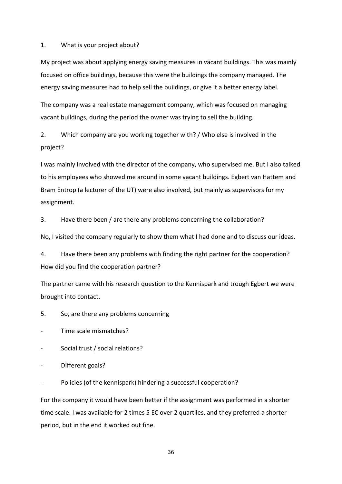1. What is your project about?

My project was about applying energy saving measures in vacant buildings. This was mainly focused on office buildings, because this were the buildings the company managed. The energy saving measures had to help sell the buildings, or give it a better energy label.

The company was a real estate management company, which was focused on managing vacant buildings, during the period the owner was trying to sell the building.

2. Which company are you working together with? / Who else is involved in the project?

I was mainly involved with the director of the company, who supervised me. But I also talked to his employees who showed me around in some vacant buildings. Egbert van Hattem and Bram Entrop (a lecturer of the UT) were also involved, but mainly as supervisors for my assignment.

3. Have there been / are there any problems concerning the collaboration?

No, I visited the company regularly to show them what I had done and to discuss our ideas.

4. Have there been any problems with finding the right partner for the cooperation? How did you find the cooperation partner?

The partner came with his research question to the Kennispark and trough Egbert we were brought into contact.

5. So, are there any problems concerning

- Time scale mismatches?
- Social trust / social relations?
- Different goals?

Policies (of the kennispark) hindering a successful cooperation?

For the company it would have been better if the assignment was performed in a shorter time scale. I was available for 2 times 5 EC over 2 quartiles, and they preferred a shorter period, but in the end it worked out fine.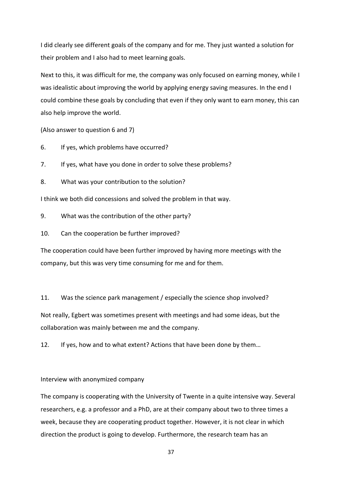I did clearly see different goals of the company and for me. They just wanted a solution for their problem and I also had to meet learning goals.

Next to this, it was difficult for me, the company was only focused on earning money, while I was idealistic about improving the world by applying energy saving measures. In the end I could combine these goals by concluding that even if they only want to earn money, this can also help improve the world.

(Also answer to question 6 and 7)

- 6. If yes, which problems have occurred?
- 7. If yes, what have you done in order to solve these problems?
- 8. What was your contribution to the solution?

I think we both did concessions and solved the problem in that way.

- 9. What was the contribution of the other party?
- 10. Can the cooperation be further improved?

The cooperation could have been further improved by having more meetings with the company, but this was very time consuming for me and for them.

11. Was the science park management / especially the science shop involved?

Not really, Egbert was sometimes present with meetings and had some ideas, but the collaboration was mainly between me and the company.

12. If yes, how and to what extent? Actions that have been done by them…

#### Interview with anonymized company

The company is cooperating with the University of Twente in a quite intensive way. Several researchers, e.g. a professor and a PhD, are at their company about two to three times a week, because they are cooperating product together. However, it is not clear in which direction the product is going to develop. Furthermore, the research team has an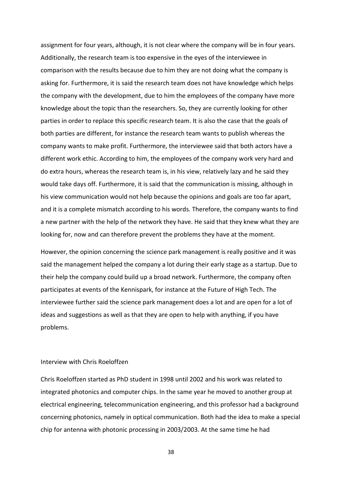assignment for four years, although, it is not clear where the company will be in four years. Additionally, the research team is too expensive in the eyes of the interviewee in comparison with the results because due to him they are not doing what the company is asking for. Furthermore, it is said the research team does not have knowledge which helps the company with the development, due to him the employees of the company have more knowledge about the topic than the researchers. So, they are currently looking for other parties in order to replace this specific research team. It is also the case that the goals of both parties are different, for instance the research team wants to publish whereas the company wants to make profit. Furthermore, the interviewee said that both actors have a different work ethic. According to him, the employees of the company work very hard and do extra hours, whereas the research team is, in his view, relatively lazy and he said they would take days off. Furthermore, it is said that the communication is missing, although in his view communication would not help because the opinions and goals are too far apart, and it is a complete mismatch according to his words. Therefore, the company wants to find a new partner with the help of the network they have. He said that they knew what they are looking for, now and can therefore prevent the problems they have at the moment.

However, the opinion concerning the science park management is really positive and it was said the management helped the company a lot during their early stage as a startup. Due to their help the company could build up a broad network. Furthermore, the company often participates at events of the Kennispark, for instance at the Future of High Tech. The interviewee further said the science park management does a lot and are open for a lot of ideas and suggestions as well as that they are open to help with anything, if you have problems.

#### Interview with Chris Roeloffzen

Chris Roeloffzen started as PhD student in 1998 until 2002 and his work was related to integrated photonics and computer chips. In the same year he moved to another group at electrical engineering, telecommunication engineering, and this professor had a background concerning photonics, namely in optical communication. Both had the idea to make a special chip for antenna with photonic processing in 2003/2003. At the same time he had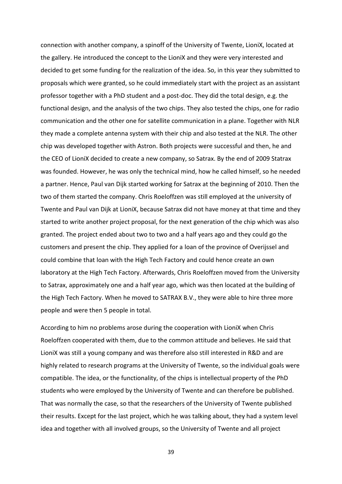connection with another company, a spinoff of the University of Twente, LioniX, located at the gallery. He introduced the concept to the LioniX and they were very interested and decided to get some funding for the realization of the idea. So, in this year they submitted to proposals which were granted, so he could immediately start with the project as an assistant professor together with a PhD student and a post-doc. They did the total design, e.g. the functional design, and the analysis of the two chips. They also tested the chips, one for radio communication and the other one for satellite communication in a plane. Together with NLR they made a complete antenna system with their chip and also tested at the NLR. The other chip was developed together with Astron. Both projects were successful and then, he and the CEO of LioniX decided to create a new company, so Satrax. By the end of 2009 Statrax was founded. However, he was only the technical mind, how he called himself, so he needed a partner. Hence, Paul van Dijk started working for Satrax at the beginning of 2010. Then the two of them started the company. Chris Roeloffzen was still employed at the university of Twente and Paul van Dijk at LioniX, because Satrax did not have money at that time and they started to write another project proposal, for the next generation of the chip which was also granted. The project ended about two to two and a half years ago and they could go the customers and present the chip. They applied for a loan of the province of Overijssel and could combine that loan with the High Tech Factory and could hence create an own laboratory at the High Tech Factory. Afterwards, Chris Roeloffzen moved from the University to Satrax, approximately one and a half year ago, which was then located at the building of the High Tech Factory. When he moved to SATRAX B.V., they were able to hire three more people and were then 5 people in total.

According to him no problems arose during the cooperation with LioniX when Chris Roeloffzen cooperated with them, due to the common attitude and believes. He said that LioniX was still a young company and was therefore also still interested in R&D and are highly related to research programs at the University of Twente, so the individual goals were compatible. The idea, or the functionality, of the chips is intellectual property of the PhD students who were employed by the University of Twente and can therefore be published. That was normally the case, so that the researchers of the University of Twente published their results. Except for the last project, which he was talking about, they had a system level idea and together with all involved groups, so the University of Twente and all project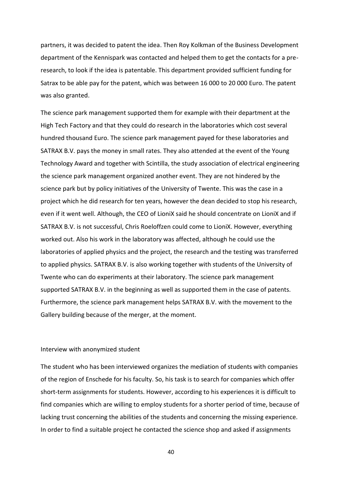partners, it was decided to patent the idea. Then Roy Kolkman of the Business Development department of the Kennispark was contacted and helped them to get the contacts for a preresearch, to look if the idea is patentable. This department provided sufficient funding for Satrax to be able pay for the patent, which was between 16 000 to 20 000 Euro. The patent was also granted.

The science park management supported them for example with their department at the High Tech Factory and that they could do research in the laboratories which cost several hundred thousand Euro. The science park management payed for these laboratories and SATRAX B.V. pays the money in small rates. They also attended at the event of the Young Technology Award and together with Scintilla, the study association of electrical engineering the science park management organized another event. They are not hindered by the science park but by policy initiatives of the University of Twente. This was the case in a project which he did research for ten years, however the dean decided to stop his research, even if it went well. Although, the CEO of LioniX said he should concentrate on LioniX and if SATRAX B.V. is not successful, Chris Roeloffzen could come to LioniX. However, everything worked out. Also his work in the laboratory was affected, although he could use the laboratories of applied physics and the project, the research and the testing was transferred to applied physics. SATRAX B.V. is also working together with students of the University of Twente who can do experiments at their laboratory. The science park management supported SATRAX B.V. in the beginning as well as supported them in the case of patents. Furthermore, the science park management helps SATRAX B.V. with the movement to the Gallery building because of the merger, at the moment.

#### Interview with anonymized student

The student who has been interviewed organizes the mediation of students with companies of the region of Enschede for his faculty. So, his task is to search for companies which offer short-term assignments for students. However, according to his experiences it is difficult to find companies which are willing to employ students for a shorter period of time, because of lacking trust concerning the abilities of the students and concerning the missing experience. In order to find a suitable project he contacted the science shop and asked if assignments